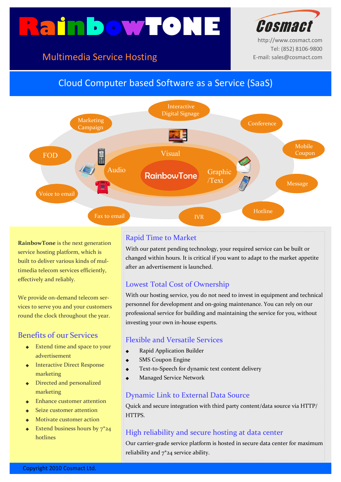# **RainbowTONE**





http://www.cosmact.com Tel: (852) 8106-9800 E-mail: sales@cosmact.com

# Cloud Computer based Software as a Service (SaaS)



**RainbowTone** is the next generation service hosting platform, which is built to deliver various kinds of multimedia telecom services efficiently, effectively and reliably.

We provide on-demand telecom services to serve you and your customers round the clock throughout the year.

# Benefits of our Services

- ◆ Extend time and space to your advertisement
- ◆ Interactive Direct Response marketing
- ◆ Directed and personalized marketing
- ◆ Enhance customer attention
- Seize customer attention
- ◆ Motivate customer action
- Extend business hours by  $7^*24$ hotlines

#### Rapid Time to Market

With our patent pending technology, your required service can be built or changed within hours. It is critical if you want to adapt to the market appetite after an advertisement is launched.

## Lowest Total Cost of Ownership

With our hosting service, you do not need to invest in equipment and technical personnel for development and on-going maintenance. You can rely on our professional service for building and maintaining the service for you, without investing your own in-house experts.

#### Flexible and Versatile Services

- **Rapid Application Builder**
- **SMS Coupon Engine**
- Text-to-Speech for dynamic text content delivery
- **Managed Service Network**

#### Dynamic Link to External Data Source

Quick and secure integration with third party content/data source via HTTP/ HTTPS.

## High reliability and secure hosting at data center

Our carrier-grade service platform is hosted in secure data center for maximum reliability and  $7^*$  24 service ability.